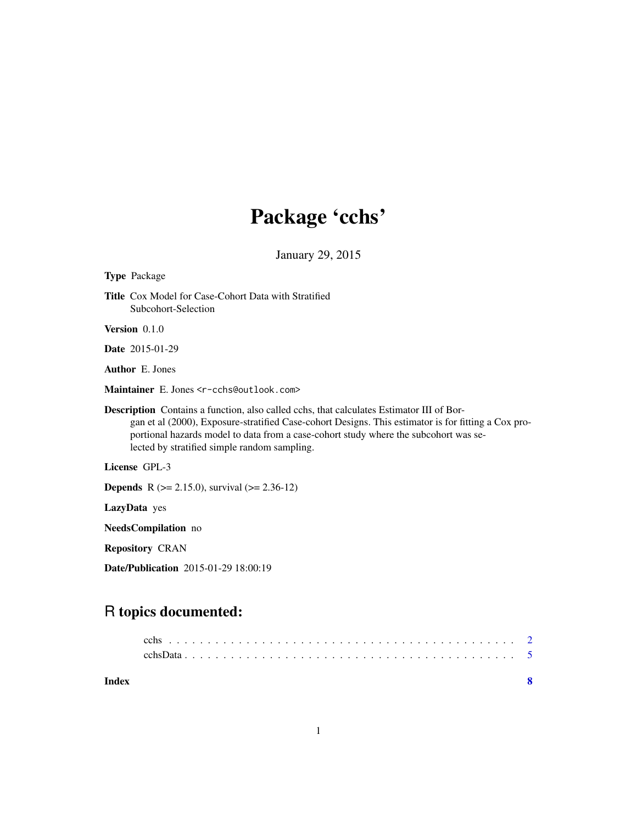## Package 'cchs'

January 29, 2015

<span id="page-0-0"></span>

| <b>Type Package</b>                                                                                                                                                                                                                                                                                                                            |
|------------------------------------------------------------------------------------------------------------------------------------------------------------------------------------------------------------------------------------------------------------------------------------------------------------------------------------------------|
| <b>Title Cox Model for Case-Cohort Data with Stratified</b><br>Subcohort-Selection                                                                                                                                                                                                                                                             |
| <b>Version</b> $0.1.0$                                                                                                                                                                                                                                                                                                                         |
| <b>Date</b> 2015-01-29                                                                                                                                                                                                                                                                                                                         |
| <b>Author</b> E. Jones                                                                                                                                                                                                                                                                                                                         |
| Maintainer E. Jones <r-cchs@outlook.com></r-cchs@outlook.com>                                                                                                                                                                                                                                                                                  |
| <b>Description</b> Contains a function, also called cchs, that calculates Estimator III of Bor-<br>gan et al (2000), Exposure-stratified Case-cohort Designs. This estimator is for fitting a Cox pro-<br>portional hazards model to data from a case-cohort study where the subcohort was se-<br>lected by stratified simple random sampling. |
| License GPL-3                                                                                                                                                                                                                                                                                                                                  |
| <b>Depends</b> R ( $> = 2.15.0$ ), survival ( $> = 2.36-12$ )                                                                                                                                                                                                                                                                                  |
| <b>LazyData</b> yes                                                                                                                                                                                                                                                                                                                            |
| NeedsCompilation no                                                                                                                                                                                                                                                                                                                            |
| <b>Repository CRAN</b>                                                                                                                                                                                                                                                                                                                         |
| <b>Date/Publication</b> 2015-01-29 18:00:19                                                                                                                                                                                                                                                                                                    |

### R topics documented:

| Index |  |  |  |  |  |  |  |  |  |  |  |  |  |  |  |  |  |  |  |  |
|-------|--|--|--|--|--|--|--|--|--|--|--|--|--|--|--|--|--|--|--|--|
|       |  |  |  |  |  |  |  |  |  |  |  |  |  |  |  |  |  |  |  |  |
|       |  |  |  |  |  |  |  |  |  |  |  |  |  |  |  |  |  |  |  |  |
|       |  |  |  |  |  |  |  |  |  |  |  |  |  |  |  |  |  |  |  |  |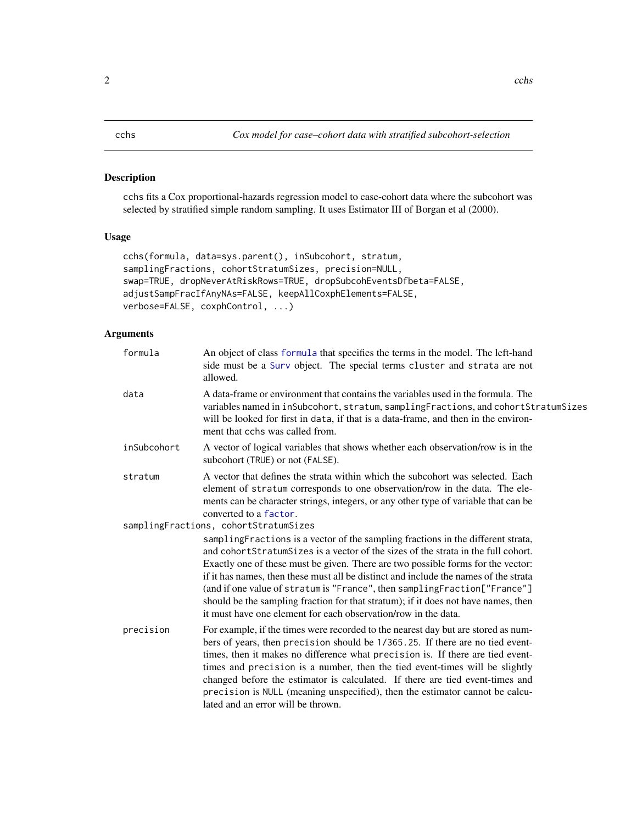#### <span id="page-1-1"></span><span id="page-1-0"></span>Description

cchs fits a Cox proportional-hazards regression model to case-cohort data where the subcohort was selected by stratified simple random sampling. It uses Estimator III of Borgan et al (2000).

### Usage

```
cchs(formula, data=sys.parent(), inSubcohort, stratum,
samplingFractions, cohortStratumSizes, precision=NULL,
swap=TRUE, dropNeverAtRiskRows=TRUE, dropSubcohEventsDfbeta=FALSE,
adjustSampFracIfAnyNAs=FALSE, keepAllCoxphElements=FALSE,
verbose=FALSE, coxphControl, ...)
```
### Arguments

| formula     | An object of class formula that specifies the terms in the model. The left-hand<br>side must be a Surv object. The special terms cluster and strata are not<br>allowed.                                                                                                                                                                                                                                                                                                                                                                                                                  |
|-------------|------------------------------------------------------------------------------------------------------------------------------------------------------------------------------------------------------------------------------------------------------------------------------------------------------------------------------------------------------------------------------------------------------------------------------------------------------------------------------------------------------------------------------------------------------------------------------------------|
| data        | A data-frame or environment that contains the variables used in the formula. The<br>variables named in inSubcohort, stratum, samplingFractions, and cohortStratumSizes<br>will be looked for first in data, if that is a data-frame, and then in the environ-<br>ment that cchs was called from.                                                                                                                                                                                                                                                                                         |
| inSubcohort | A vector of logical variables that shows whether each observation/row is in the<br>subcohort (TRUE) or not (FALSE).                                                                                                                                                                                                                                                                                                                                                                                                                                                                      |
| stratum     | A vector that defines the strata within which the subcohort was selected. Each<br>element of stratum corresponds to one observation/row in the data. The ele-<br>ments can be character strings, integers, or any other type of variable that can be<br>converted to a factor.                                                                                                                                                                                                                                                                                                           |
|             | samplingFractions, cohortStratumSizes                                                                                                                                                                                                                                                                                                                                                                                                                                                                                                                                                    |
|             | samplingFractions is a vector of the sampling fractions in the different strata,<br>and cohort Stratum Sizes is a vector of the sizes of the strata in the full cohort.<br>Exactly one of these must be given. There are two possible forms for the vector:<br>if it has names, then these must all be distinct and include the names of the strata<br>(and if one value of stratum is "France", then samplingFraction["France"]<br>should be the sampling fraction for that stratum); if it does not have names, then<br>it must have one element for each observation/row in the data. |
| precision   | For example, if the times were recorded to the nearest day but are stored as num-<br>bers of years, then precision should be 1/365.25. If there are no tied event-<br>times, then it makes no difference what precision is. If there are tied event-<br>times and precision is a number, then the tied event-times will be slightly<br>changed before the estimator is calculated. If there are tied event-times and<br>precision is NULL (meaning unspecified), then the estimator cannot be calcu-<br>lated and an error will be thrown.                                               |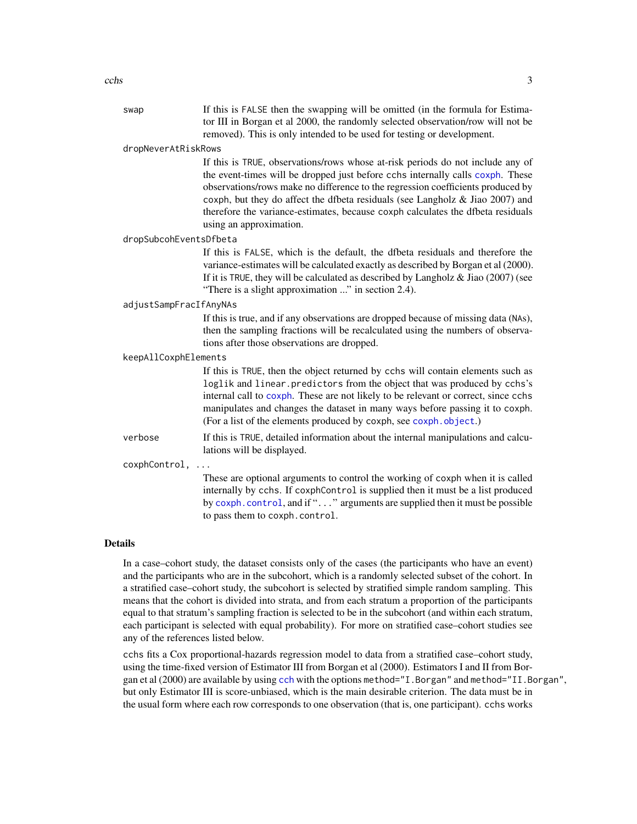<span id="page-2-0"></span>

| swap                   | If this is FALSE then the swapping will be omitted (in the formula for Estima-<br>tor III in Borgan et al 2000, the randomly selected observation/row will not be<br>removed). This is only intended to be used for testing or development.                                                                                                                                                                                                        |
|------------------------|----------------------------------------------------------------------------------------------------------------------------------------------------------------------------------------------------------------------------------------------------------------------------------------------------------------------------------------------------------------------------------------------------------------------------------------------------|
| dropNeverAtRiskRows    |                                                                                                                                                                                                                                                                                                                                                                                                                                                    |
|                        | If this is TRUE, observations/rows whose at-risk periods do not include any of<br>the event-times will be dropped just before cchs internally calls coxph. These<br>observations/rows make no difference to the regression coefficients produced by<br>coxph, but they do affect the dfbeta residuals (see Langholz & Jiao 2007) and<br>therefore the variance-estimates, because coxph calculates the dfbeta residuals<br>using an approximation. |
| dropSubcohEventsDfbeta |                                                                                                                                                                                                                                                                                                                                                                                                                                                    |
|                        | If this is FALSE, which is the default, the dfbeta residuals and therefore the<br>variance-estimates will be calculated exactly as described by Borgan et al (2000).<br>If it is TRUE, they will be calculated as described by Langholz & Jiao $(2007)$ (see<br>"There is a slight approximation " in section 2.4).                                                                                                                                |
| adjustSampFracIfAnyNAs |                                                                                                                                                                                                                                                                                                                                                                                                                                                    |
|                        | If this is true, and if any observations are dropped because of missing data (NAs),<br>then the sampling fractions will be recalculated using the numbers of observa-<br>tions after those observations are dropped.                                                                                                                                                                                                                               |
| keepAllCoxphElements   |                                                                                                                                                                                                                                                                                                                                                                                                                                                    |
|                        | If this is TRUE, then the object returned by cchs will contain elements such as<br>loglik and linear. predictors from the object that was produced by cchs's<br>internal call to coxph. These are not likely to be relevant or correct, since cchs<br>manipulates and changes the dataset in many ways before passing it to coxph.<br>(For a list of the elements produced by coxph, see coxph.object.)                                            |
| verbose                | If this is TRUE, detailed information about the internal manipulations and calcu-<br>lations will be displayed.                                                                                                                                                                                                                                                                                                                                    |
| coxphControl,          |                                                                                                                                                                                                                                                                                                                                                                                                                                                    |
|                        | These are optional arguments to control the working of coxph when it is called<br>internally by cchs. If coxphControl is supplied then it must be a list produced<br>by coxph. control, and if "" arguments are supplied then it must be possible                                                                                                                                                                                                  |

#### Details

In a case–cohort study, the dataset consists only of the cases (the participants who have an event) and the participants who are in the subcohort, which is a randomly selected subset of the cohort. In a stratified case–cohort study, the subcohort is selected by stratified simple random sampling. This means that the cohort is divided into strata, and from each stratum a proportion of the participants equal to that stratum's sampling fraction is selected to be in the subcohort (and within each stratum, each participant is selected with equal probability). For more on stratified case–cohort studies see any of the references listed below.

to pass them to coxph.control.

cchs fits a Cox proportional-hazards regression model to data from a stratified case–cohort study, using the time-fixed version of Estimator III from Borgan et al (2000). Estimators I and II from Borgan et al (2000) are available by using [cch](#page-0-0) with the options method="I.Borgan" and method="II.Borgan", but only Estimator III is score-unbiased, which is the main desirable criterion. The data must be in the usual form where each row corresponds to one observation (that is, one participant). cchs works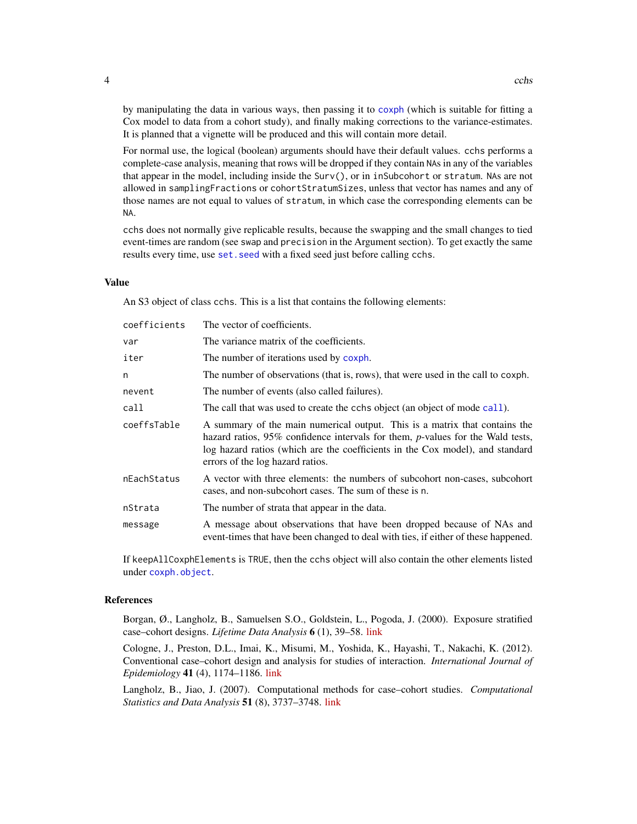by manipulating the data in various ways, then passing it to [coxph](#page-0-0) (which is suitable for fitting a Cox model to data from a cohort study), and finally making corrections to the variance-estimates. It is planned that a vignette will be produced and this will contain more detail.

For normal use, the logical (boolean) arguments should have their default values. cchs performs a complete-case analysis, meaning that rows will be dropped if they contain NAs in any of the variables that appear in the model, including inside the Surv(), or in inSubcohort or stratum. NAs are not allowed in samplingFractions or cohortStratumSizes, unless that vector has names and any of those names are not equal to values of stratum, in which case the corresponding elements can be NA.

cchs does not normally give replicable results, because the swapping and the small changes to tied event-times are random (see swap and precision in the Argument section). To get exactly the same results every time, use set. seed with a fixed seed just before calling cchs.

#### Value

An S3 object of class cchs. This is a list that contains the following elements:

| coefficients | The vector of coefficients.                                                                                                                                                                                                                                                       |
|--------------|-----------------------------------------------------------------------------------------------------------------------------------------------------------------------------------------------------------------------------------------------------------------------------------|
| var          | The variance matrix of the coefficients.                                                                                                                                                                                                                                          |
| iter         | The number of iterations used by coxph.                                                                                                                                                                                                                                           |
| n            | The number of observations (that is, rows), that were used in the call to coxph.                                                                                                                                                                                                  |
| nevent       | The number of events (also called failures).                                                                                                                                                                                                                                      |
| call         | The call that was used to create the cchs object (an object of mode call).                                                                                                                                                                                                        |
| coeffsTable  | A summary of the main numerical output. This is a matrix that contains the<br>hazard ratios, 95% confidence intervals for them, p-values for the Wald tests,<br>log hazard ratios (which are the coefficients in the Cox model), and standard<br>errors of the log hazard ratios. |
| nEachStatus  | A vector with three elements: the numbers of subcohort non-cases, subcohort<br>cases, and non-subcohort cases. The sum of these is n.                                                                                                                                             |
| nStrata      | The number of strata that appear in the data.                                                                                                                                                                                                                                     |
| message      | A message about observations that have been dropped because of NAs and<br>event-times that have been changed to deal with ties, if either of these happened.                                                                                                                      |

If keepAllCoxphElements is TRUE, then the cchs object will also contain the other elements listed under [coxph.object](#page-0-0).

#### References

Borgan, Ø., Langholz, B., Samuelsen S.O., Goldstein, L., Pogoda, J. (2000). Exposure stratified case–cohort designs. *Lifetime Data Analysis* 6 (1), 39–58. [link](http://tinyurl.com/onc2ual)

Cologne, J., Preston, D.L., Imai, K., Misumi, M., Yoshida, K., Hayashi, T., Nakachi, K. (2012). Conventional case–cohort design and analysis for studies of interaction. *International Journal of Epidemiology* 41 (4), 1174–1186. [link](http://ije.oxfordjournals.org/content/41/4/1174.full)

Langholz, B., Jiao, J. (2007). Computational methods for case–cohort studies. *Computational Statistics and Data Analysis* 51 (8), 3737–3748. [link](http://www.sciencedirect.com/science/article/pii/S0167947306005068)

<span id="page-3-0"></span>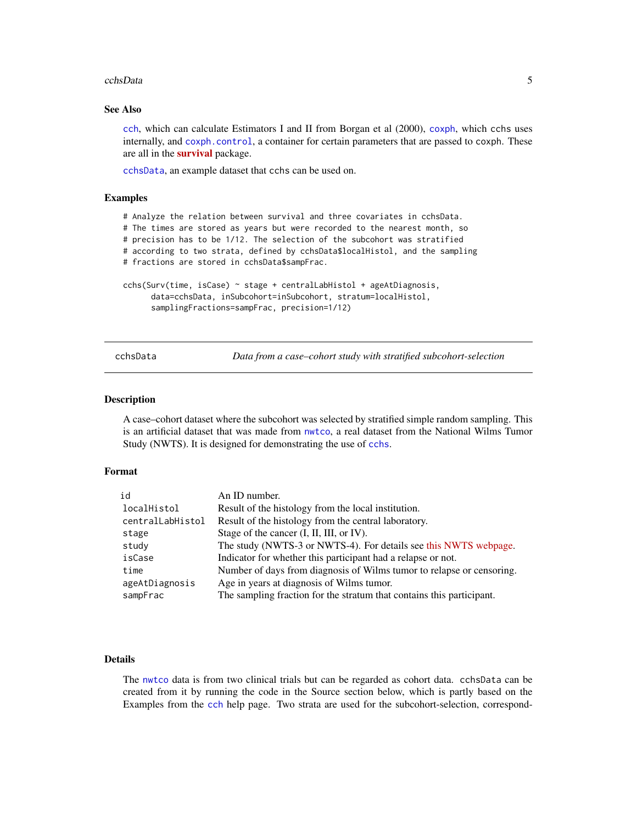#### <span id="page-4-0"></span>cchsData 5

#### See Also

[cch](#page-0-0), which can calculate Estimators I and II from Borgan et al (2000), [coxph](#page-0-0), which cchs uses internally, and [coxph.control](#page-0-0), a container for certain parameters that are passed to coxph. These are all in the **[survival](http://CRAN.R-project.org/package=survival)** package.

[cchsData](#page-4-1), an example dataset that cchs can be used on.

#### Examples

```
# Analyze the relation between survival and three covariates in cchsData.
# The times are stored as years but were recorded to the nearest month, so
# precision has to be 1/12. The selection of the subcohort was stratified
# according to two strata, defined by cchsData$localHistol, and the sampling
# fractions are stored in cchsData$sampFrac.
cchs(Surv(time, isCase) ~ stage + centralLabHistol + ageAtDiagnosis,
      data=cchsData, inSubcohort=inSubcohort, stratum=localHistol,
      samplingFractions=sampFrac, precision=1/12)
```
<span id="page-4-1"></span>

cchsData *Data from a case–cohort study with stratified subcohort-selection*

#### Description

A case–cohort dataset where the subcohort was selected by stratified simple random sampling. This is an artificial dataset that was made from [nwtco](#page-0-0), a real dataset from the National Wilms Tumor Study (NWTS). It is designed for demonstrating the use of [cchs](#page-1-1).

#### Format

| id               | An ID number.                                                         |
|------------------|-----------------------------------------------------------------------|
| localHistol      | Result of the histology from the local institution.                   |
| centralLabHistol | Result of the histology from the central laboratory.                  |
| stage            | Stage of the cancer (I, II, III, or IV).                              |
| study            | The study (NWTS-3 or NWTS-4). For details see this NWTS webpage.      |
| isCase           | Indicator for whether this participant had a relapse or not.          |
| time             | Number of days from diagnosis of Wilms tumor to relapse or censoring. |
| ageAtDiagnosis   | Age in years at diagnosis of Wilms tumor.                             |
| sampFrac         | The sampling fraction for the stratum that contains this participant. |
|                  |                                                                       |

#### Details

The [nwtco](#page-0-0) data is from two clinical trials but can be regarded as cohort data. cchsData can be created from it by running the code in the Source section below, which is partly based on the Examples from the [cch](#page-0-0) help page. Two strata are used for the subcohort-selection, correspond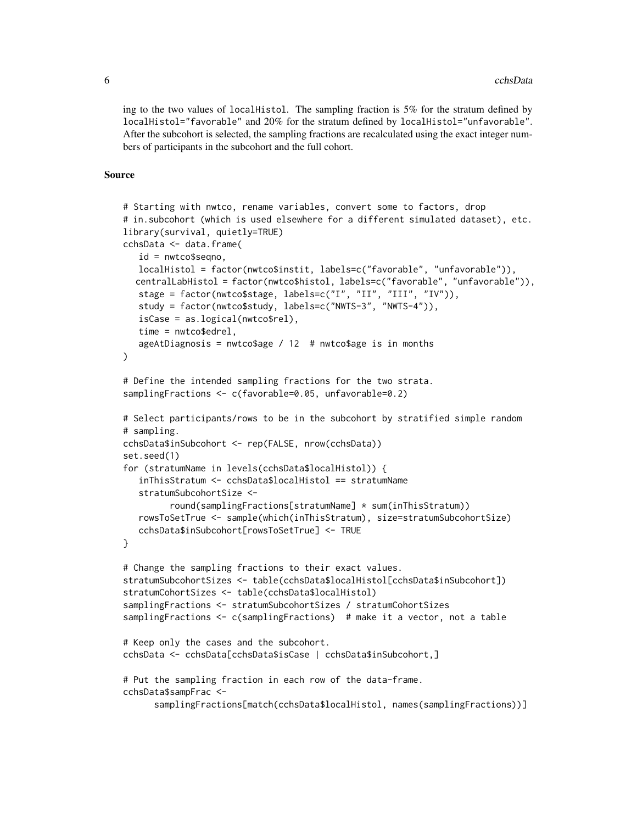ing to the two values of localHistol. The sampling fraction is 5% for the stratum defined by localHistol="favorable" and 20% for the stratum defined by localHistol="unfavorable". After the subcohort is selected, the sampling fractions are recalculated using the exact integer numbers of participants in the subcohort and the full cohort.

#### Source

```
# Starting with nwtco, rename variables, convert some to factors, drop
# in.subcohort (which is used elsewhere for a different simulated dataset), etc.
library(survival, quietly=TRUE)
cchsData <- data.frame(
  id = nwtco$seqno,
  localHistol = factor(nwtco$instit, labels=c("favorable", "unfavorable")),
  centralLabHistol = factor(nwtco$histol, labels=c("favorable", "unfavorable")),
  stage = factor(nwtco$stage, labels=c("I", "II", "III", "IV")),
  study = factor(nwtco$study, labels=c("NWTS-3", "NWTS-4")),
  isCase = as.logical(nwtco$rel),
  time = nwtco$edrel,
  ageAtDiagnosis = nwtco$age / 12 # nwtco$age is in months
)
# Define the intended sampling fractions for the two strata.
samplingFractions <- c(favorable=0.05, unfavorable=0.2)
# Select participants/rows to be in the subcohort by stratified simple random
# sampling.
cchsData$inSubcohort <- rep(FALSE, nrow(cchsData))
set.seed(1)
for (stratumName in levels(cchsData$localHistol)) {
  inThisStratum <- cchsData$localHistol == stratumName
  stratumSubcohortSize <-
         round(samplingFractions[stratumName] * sum(inThisStratum))
  rowsToSetTrue <- sample(which(inThisStratum), size=stratumSubcohortSize)
  cchsData$inSubcohort[rowsToSetTrue] <- TRUE
}
# Change the sampling fractions to their exact values.
stratumSubcohortSizes <- table(cchsData$localHistol[cchsData$inSubcohort])
stratumCohortSizes <- table(cchsData$localHistol)
samplingFractions <- stratumSubcohortSizes / stratumCohortSizes
samplingFractions <- c(samplingFractions) # make it a vector, not a table
# Keep only the cases and the subcohort.
cchsData <- cchsData[cchsData$isCase | cchsData$inSubcohort,]
# Put the sampling fraction in each row of the data-frame.
cchsData$sampFrac <-
     samplingFractions[match(cchsData$localHistol, names(samplingFractions))]
```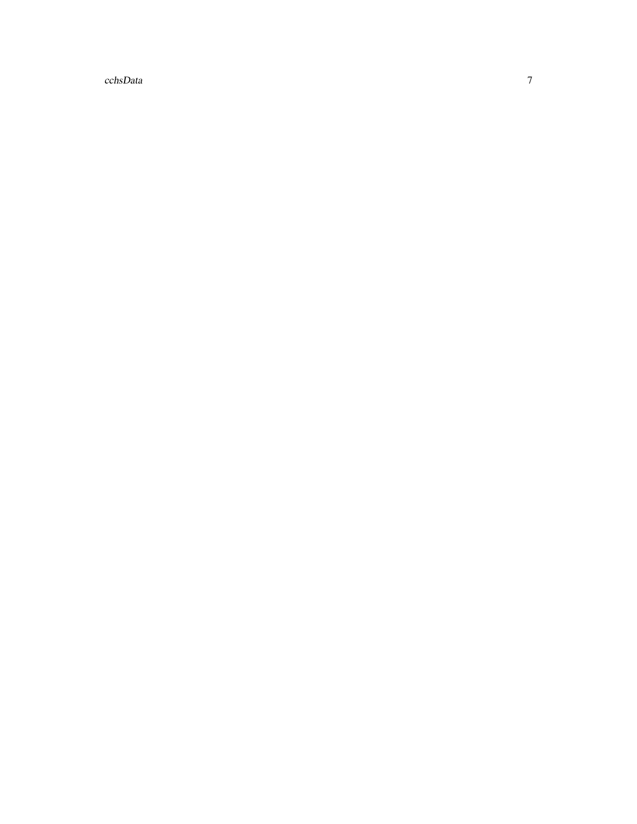cchsData 7 and 2012 12:30 and 2012 12:30 and 2012 12:30 and 2012 12:30 and 2012 12:30 and 2013 12:30 and 2013 1